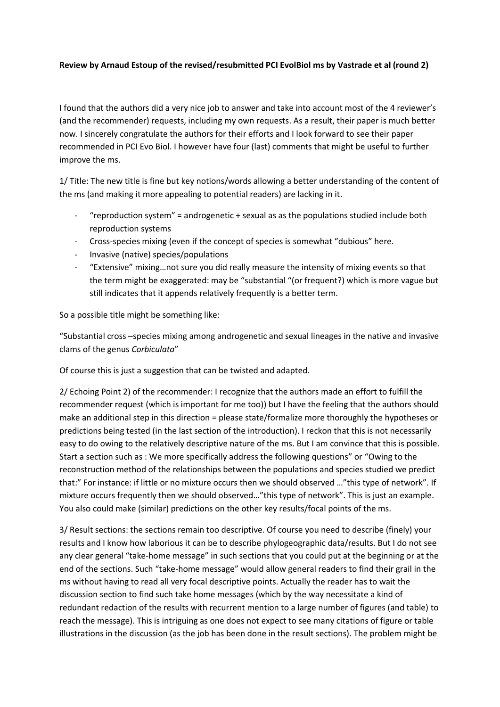## **Review by Arnaud Estoup of the revised/resubmitted PCI EvolBiol ms by Vastrade et al (round 2)**

I found that the authors did a very nice job to answer and take into account most of the 4 reviewer's (and the recommender) requests, including my own requests. As a result, their paper is much better now. I sincerely congratulate the authors for their efforts and I look forward to see their paper recommended in PCI Evo Biol. I however have four (last) comments that might be useful to further improve the ms.

1/ Title: The new title is fine but key notions/words allowing a better understanding of the content of the ms (and making it more appealing to potential readers) are lacking in it.

- "reproduction system" = androgenetic  $+$  sexual as as the populations studied include both reproduction systems
- Cross-species mixing (even if the concept of species is somewhat "dubious" here.
- Invasive (native) species/populations
- "Extensive" mixing…not sure you did really measure the intensity of mixing events so that the term might be exaggerated: may be "substantial "(or frequent?) which is more vague but still indicates that it appends relatively frequently is a better term.

So a possible title might be something like:

"Substantial cross –species mixing among androgenetic and sexual lineages in the native and invasive clams of the genus *Corbiculata*"

Of course this is just a suggestion that can be twisted and adapted.

2/ Echoing Point 2) of the recommender: I recognize that the authors made an effort to fulfill the recommender request (which is important for me too)) but I have the feeling that the authors should make an additional step in this direction = please state/formalize more thoroughly the hypotheses or predictions being tested (in the last section of the introduction). I reckon that this is not necessarily easy to do owing to the relatively descriptive nature of the ms. But I am convince that this is possible. Start a section such as : We more specifically address the following questions" or "Owing to the reconstruction method of the relationships between the populations and species studied we predict that:" For instance: if little or no mixture occurs then we should observed …"this type of network". If mixture occurs frequently then we should observed…"this type of network". This is just an example. You also could make (similar) predictions on the other key results/focal points of the ms.

3/ Result sections: the sections remain too descriptive. Of course you need to describe (finely) your results and I know how laborious it can be to describe phylogeographic data/results. But I do not see any clear general "take-home message" in such sections that you could put at the beginning or at the end of the sections. Such "take-home message" would allow general readers to find their grail in the ms without having to read all very focal descriptive points. Actually the reader has to wait the discussion section to find such take home messages (which by the way necessitate a kind of redundant redaction of the results with recurrent mention to a large number of figures (and table) to reach the message). This is intriguing as one does not expect to see many citations of figure or table illustrations in the discussion (as the job has been done in the result sections). The problem might be